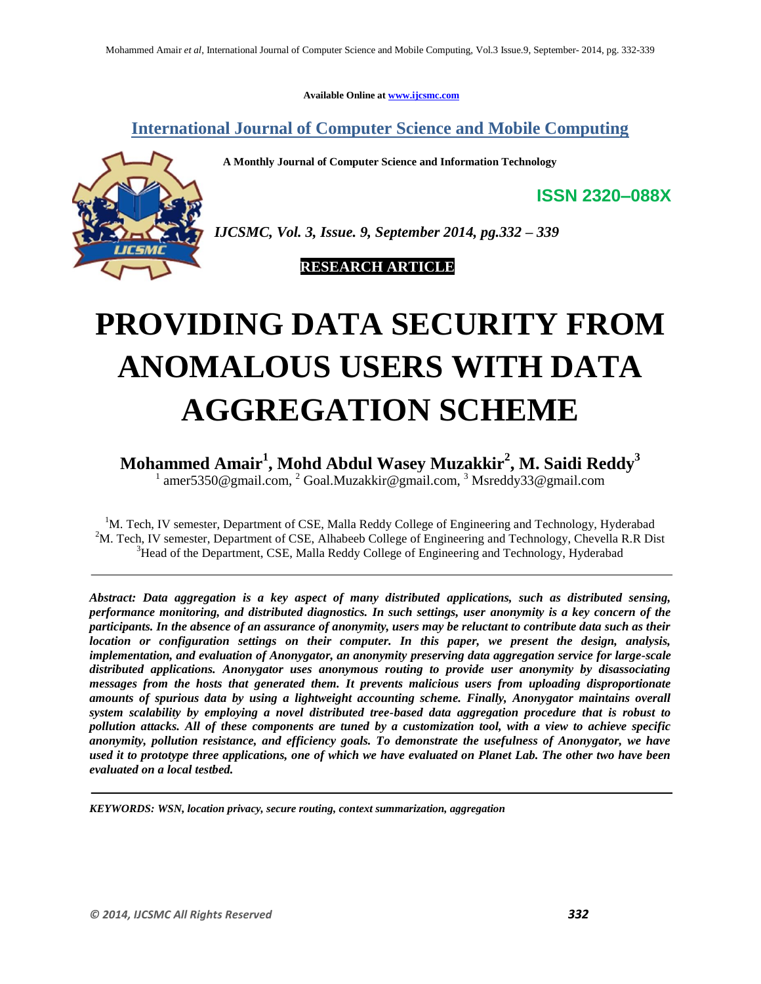**Available Online at www.ijcsmc.com**

**International Journal of Computer Science and Mobile Computing**

 **A Monthly Journal of Computer Science and Information Technology**



*IJCSMC, Vol. 3, Issue. 9, September 2014, pg.332 – 339*

 **RESEARCH ARTICLE**

# **PROVIDING DATA SECURITY FROM ANOMALOUS USERS WITH DATA AGGREGATION SCHEME**

**Mohammed Amair<sup>1</sup> , Mohd Abdul Wasey Muzakkir<sup>2</sup> , M. Saidi Reddy<sup>3</sup>**

<sup>1</sup> amer5350@gmail.com, <sup>2</sup> Goal.Muzakkir@gmail.com, <sup>3</sup> Msreddy33@gmail.com

<sup>1</sup>M. Tech, IV semester, Department of CSE, Malla Reddy College of Engineering and Technology, Hyderabad <sup>2</sup>M. Tech, IV semester, Department of CSE, Alhabeeb College of Engineering and Technology, Chevella R.R Dist <sup>3</sup>Head of the Department, CSE, Malla Reddy College of Engineering and Technology, Hyderabad

*Abstract: Data aggregation is a key aspect of many distributed applications, such as distributed sensing, performance monitoring, and distributed diagnostics. In such settings, user anonymity is a key concern of the participants. In the absence of an assurance of anonymity, users may be reluctant to contribute data such as their location or configuration settings on their computer. In this paper, we present the design, analysis, implementation, and evaluation of Anonygator, an anonymity preserving data aggregation service for large-scale distributed applications. Anonygator uses anonymous routing to provide user anonymity by disassociating messages from the hosts that generated them. It prevents malicious users from uploading disproportionate amounts of spurious data by using a lightweight accounting scheme. Finally, Anonygator maintains overall system scalability by employing a novel distributed tree-based data aggregation procedure that is robust to pollution attacks. All of these components are tuned by a customization tool, with a view to achieve specific anonymity, pollution resistance, and efficiency goals. To demonstrate the usefulness of Anonygator, we have used it to prototype three applications, one of which we have evaluated on Planet Lab. The other two have been evaluated on a local testbed.*

*KEYWORDS: WSN, location privacy, secure routing, context summarization, aggregation*

**ISSN 2320–088X**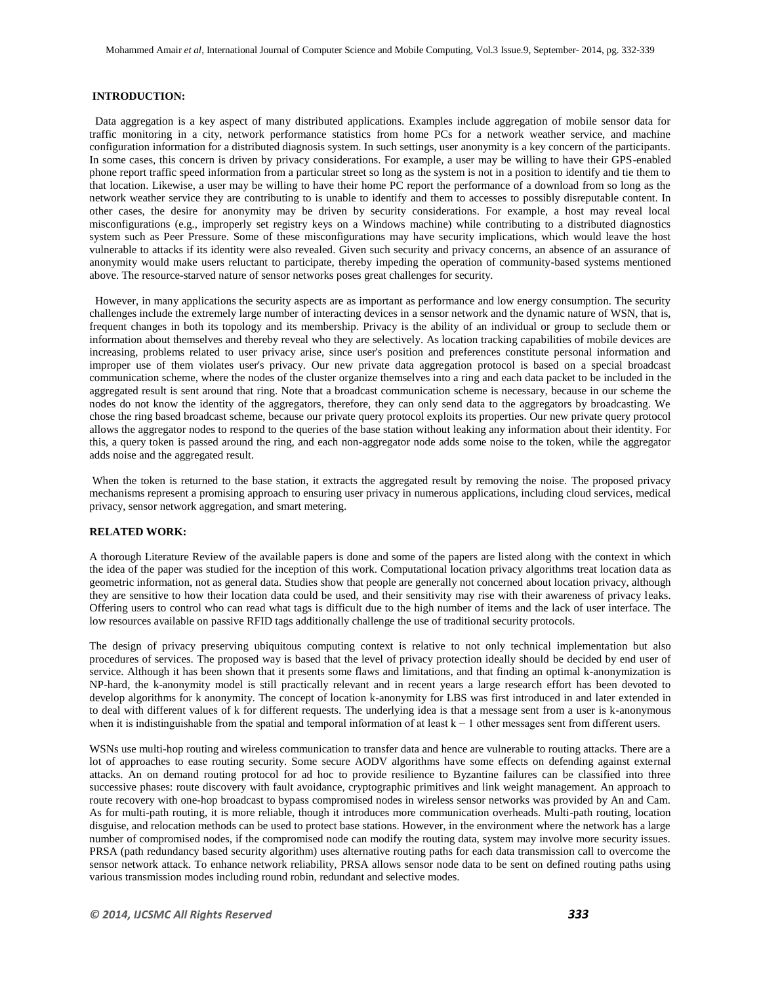# **INTRODUCTION:**

 Data aggregation is a key aspect of many distributed applications. Examples include aggregation of mobile sensor data for traffic monitoring in a city, network performance statistics from home PCs for a network weather service, and machine configuration information for a distributed diagnosis system. In such settings, user anonymity is a key concern of the participants. In some cases, this concern is driven by privacy considerations. For example, a user may be willing to have their GPS-enabled phone report traffic speed information from a particular street so long as the system is not in a position to identify and tie them to that location. Likewise, a user may be willing to have their home PC report the performance of a download from so long as the network weather service they are contributing to is unable to identify and them to accesses to possibly disreputable content. In other cases, the desire for anonymity may be driven by security considerations. For example, a host may reveal local misconfigurations (e.g., improperly set registry keys on a Windows machine) while contributing to a distributed diagnostics system such as Peer Pressure. Some of these misconfigurations may have security implications, which would leave the host vulnerable to attacks if its identity were also revealed. Given such security and privacy concerns, an absence of an assurance of anonymity would make users reluctant to participate, thereby impeding the operation of community-based systems mentioned above. The resource-starved nature of sensor networks poses great challenges for security.

 However, in many applications the security aspects are as important as performance and low energy consumption. The security challenges include the extremely large number of interacting devices in a sensor network and the dynamic nature of WSN, that is, frequent changes in both its topology and its membership. Privacy is the ability of an individual or group to seclude them or information about themselves and thereby reveal who they are selectively. As location tracking capabilities of mobile devices are increasing, problems related to user privacy arise, since user's position and preferences constitute personal information and improper use of them violates user's privacy. Our new private data aggregation protocol is based on a special broadcast communication scheme, where the nodes of the cluster organize themselves into a ring and each data packet to be included in the aggregated result is sent around that ring. Note that a broadcast communication scheme is necessary, because in our scheme the nodes do not know the identity of the aggregators, therefore, they can only send data to the aggregators by broadcasting. We chose the ring based broadcast scheme, because our private query protocol exploits its properties. Our new private query protocol allows the aggregator nodes to respond to the queries of the base station without leaking any information about their identity. For this, a query token is passed around the ring, and each non-aggregator node adds some noise to the token, while the aggregator adds noise and the aggregated result.

When the token is returned to the base station, it extracts the aggregated result by removing the noise. The proposed privacy mechanisms represent a promising approach to ensuring user privacy in numerous applications, including cloud services, medical privacy, sensor network aggregation, and smart metering.

#### **RELATED WORK:**

A thorough Literature Review of the available papers is done and some of the papers are listed along with the context in which the idea of the paper was studied for the inception of this work. Computational location privacy algorithms treat location data as geometric information, not as general data. Studies show that people are generally not concerned about location privacy, although they are sensitive to how their location data could be used, and their sensitivity may rise with their awareness of privacy leaks. Offering users to control who can read what tags is difficult due to the high number of items and the lack of user interface. The low resources available on passive RFID tags additionally challenge the use of traditional security protocols.

The design of privacy preserving ubiquitous computing context is relative to not only technical implementation but also procedures of services. The proposed way is based that the level of privacy protection ideally should be decided by end user of service. Although it has been shown that it presents some flaws and limitations, and that finding an optimal k-anonymization is NP-hard, the k-anonymity model is still practically relevant and in recent years a large research effort has been devoted to develop algorithms for k anonymity. The concept of location k-anonymity for LBS was first introduced in and later extended in to deal with different values of k for different requests. The underlying idea is that a message sent from a user is k-anonymous when it is indistinguishable from the spatial and temporal information of at least  $k - 1$  other messages sent from different users.

WSNs use multi-hop routing and wireless communication to transfer data and hence are vulnerable to routing attacks. There are a lot of approaches to ease routing security. Some secure AODV algorithms have some effects on defending against external attacks. An on demand routing protocol for ad hoc to provide resilience to Byzantine failures can be classified into three successive phases: route discovery with fault avoidance, cryptographic primitives and link weight management. An approach to route recovery with one-hop broadcast to bypass compromised nodes in wireless sensor networks was provided by An and Cam. As for multi-path routing, it is more reliable, though it introduces more communication overheads. Multi-path routing, location disguise, and relocation methods can be used to protect base stations. However, in the environment where the network has a large number of compromised nodes, if the compromised node can modify the routing data, system may involve more security issues. PRSA (path redundancy based security algorithm) uses alternative routing paths for each data transmission call to overcome the sensor network attack. To enhance network reliability, PRSA allows sensor node data to be sent on defined routing paths using various transmission modes including round robin, redundant and selective modes.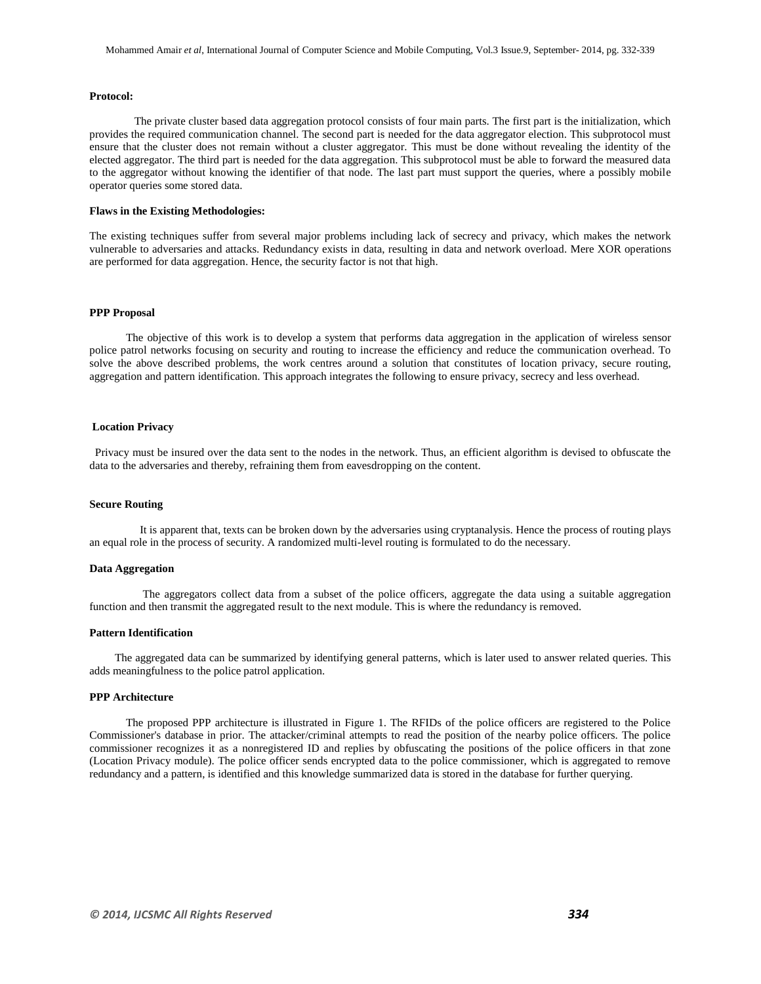### **Protocol:**

 The private cluster based data aggregation protocol consists of four main parts. The first part is the initialization, which provides the required communication channel. The second part is needed for the data aggregator election. This subprotocol must ensure that the cluster does not remain without a cluster aggregator. This must be done without revealing the identity of the elected aggregator. The third part is needed for the data aggregation. This subprotocol must be able to forward the measured data to the aggregator without knowing the identifier of that node. The last part must support the queries, where a possibly mobile operator queries some stored data.

## **Flaws in the Existing Methodologies:**

The existing techniques suffer from several major problems including lack of secrecy and privacy, which makes the network vulnerable to adversaries and attacks. Redundancy exists in data, resulting in data and network overload. Mere XOR operations are performed for data aggregation. Hence, the security factor is not that high.

## **PPP Proposal**

 The objective of this work is to develop a system that performs data aggregation in the application of wireless sensor police patrol networks focusing on security and routing to increase the efficiency and reduce the communication overhead. To solve the above described problems, the work centres around a solution that constitutes of location privacy, secure routing, aggregation and pattern identification. This approach integrates the following to ensure privacy, secrecy and less overhead.

#### **Location Privacy**

 Privacy must be insured over the data sent to the nodes in the network. Thus, an efficient algorithm is devised to obfuscate the data to the adversaries and thereby, refraining them from eavesdropping on the content.

### **Secure Routing**

 It is apparent that, texts can be broken down by the adversaries using cryptanalysis. Hence the process of routing plays an equal role in the process of security. A randomized multi-level routing is formulated to do the necessary.

### **Data Aggregation**

 The aggregators collect data from a subset of the police officers, aggregate the data using a suitable aggregation function and then transmit the aggregated result to the next module. This is where the redundancy is removed.

#### **Pattern Identification**

 The aggregated data can be summarized by identifying general patterns, which is later used to answer related queries. This adds meaningfulness to the police patrol application.

#### **PPP Architecture**

 The proposed PPP architecture is illustrated in Figure 1. The RFIDs of the police officers are registered to the Police Commissioner's database in prior. The attacker/criminal attempts to read the position of the nearby police officers. The police commissioner recognizes it as a nonregistered ID and replies by obfuscating the positions of the police officers in that zone (Location Privacy module). The police officer sends encrypted data to the police commissioner, which is aggregated to remove redundancy and a pattern, is identified and this knowledge summarized data is stored in the database for further querying.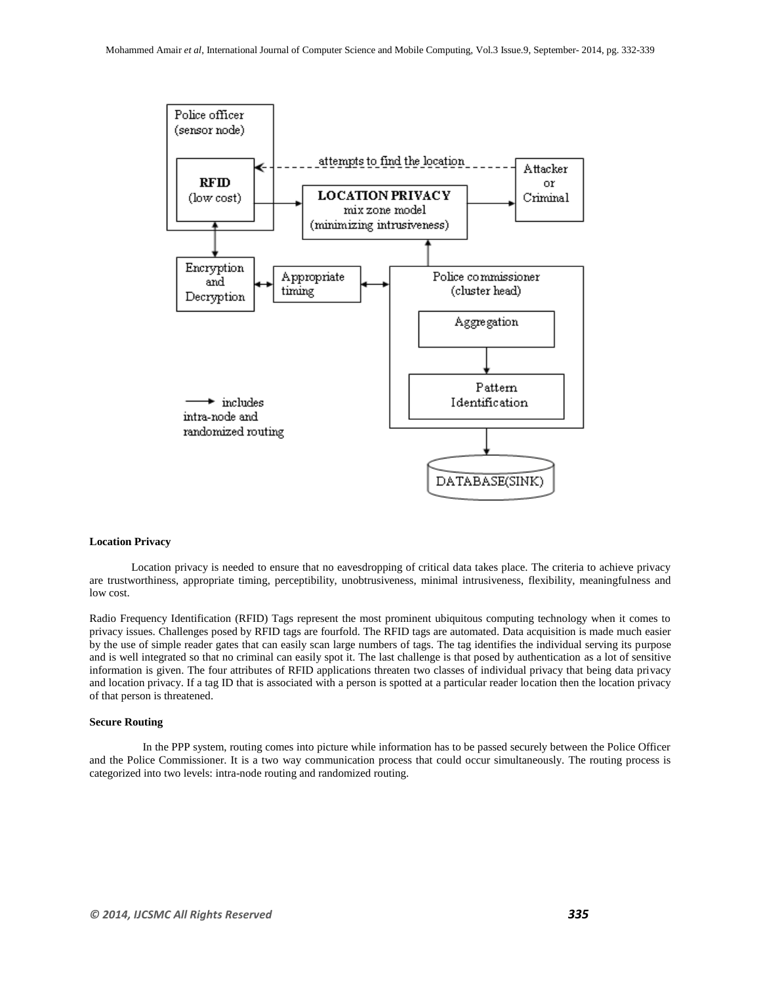

#### **Location Privacy**

 Location privacy is needed to ensure that no eavesdropping of critical data takes place. The criteria to achieve privacy are trustworthiness, appropriate timing, perceptibility, unobtrusiveness, minimal intrusiveness, flexibility, meaningfulness and low cost.

Radio Frequency Identification (RFID) Tags represent the most prominent ubiquitous computing technology when it comes to privacy issues. Challenges posed by RFID tags are fourfold. The RFID tags are automated. Data acquisition is made much easier by the use of simple reader gates that can easily scan large numbers of tags. The tag identifies the individual serving its purpose and is well integrated so that no criminal can easily spot it. The last challenge is that posed by authentication as a lot of sensitive information is given. The four attributes of RFID applications threaten two classes of individual privacy that being data privacy and location privacy. If a tag ID that is associated with a person is spotted at a particular reader location then the location privacy of that person is threatened.

#### **Secure Routing**

 In the PPP system, routing comes into picture while information has to be passed securely between the Police Officer and the Police Commissioner. It is a two way communication process that could occur simultaneously. The routing process is categorized into two levels: intra-node routing and randomized routing.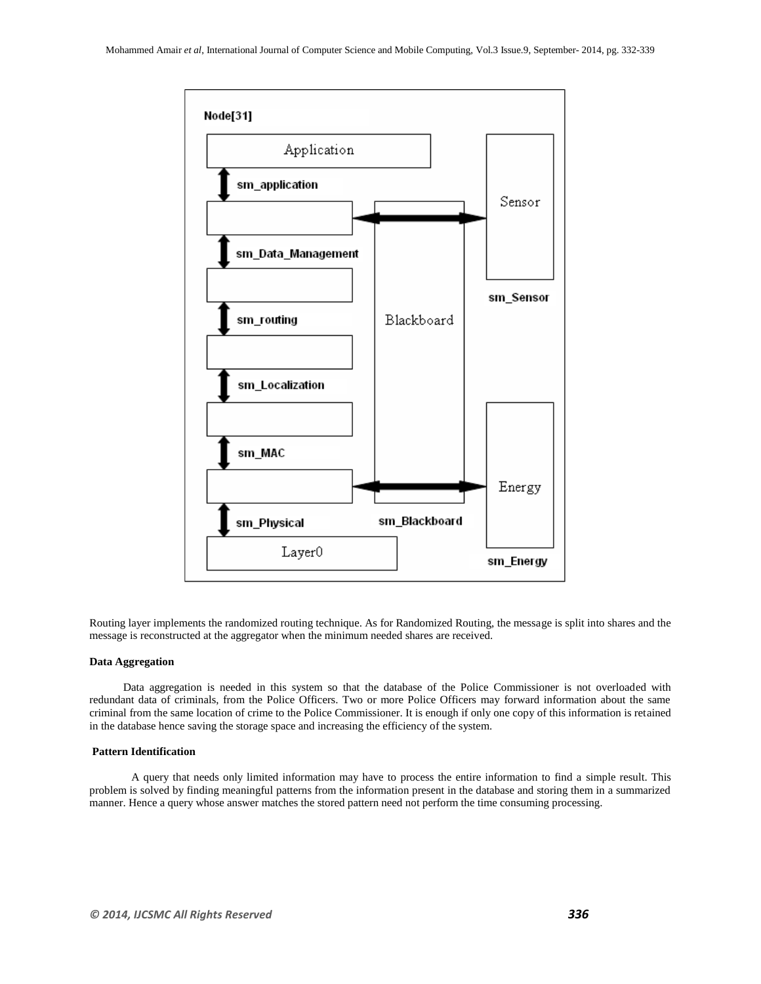

Routing layer implements the randomized routing technique. As for Randomized Routing, the message is split into shares and the message is reconstructed at the aggregator when the minimum needed shares are received.

### **Data Aggregation**

 Data aggregation is needed in this system so that the database of the Police Commissioner is not overloaded with redundant data of criminals, from the Police Officers. Two or more Police Officers may forward information about the same criminal from the same location of crime to the Police Commissioner. It is enough if only one copy of this information is retained in the database hence saving the storage space and increasing the efficiency of the system.

### **Pattern Identification**

 A query that needs only limited information may have to process the entire information to find a simple result. This problem is solved by finding meaningful patterns from the information present in the database and storing them in a summarized manner. Hence a query whose answer matches the stored pattern need not perform the time consuming processing.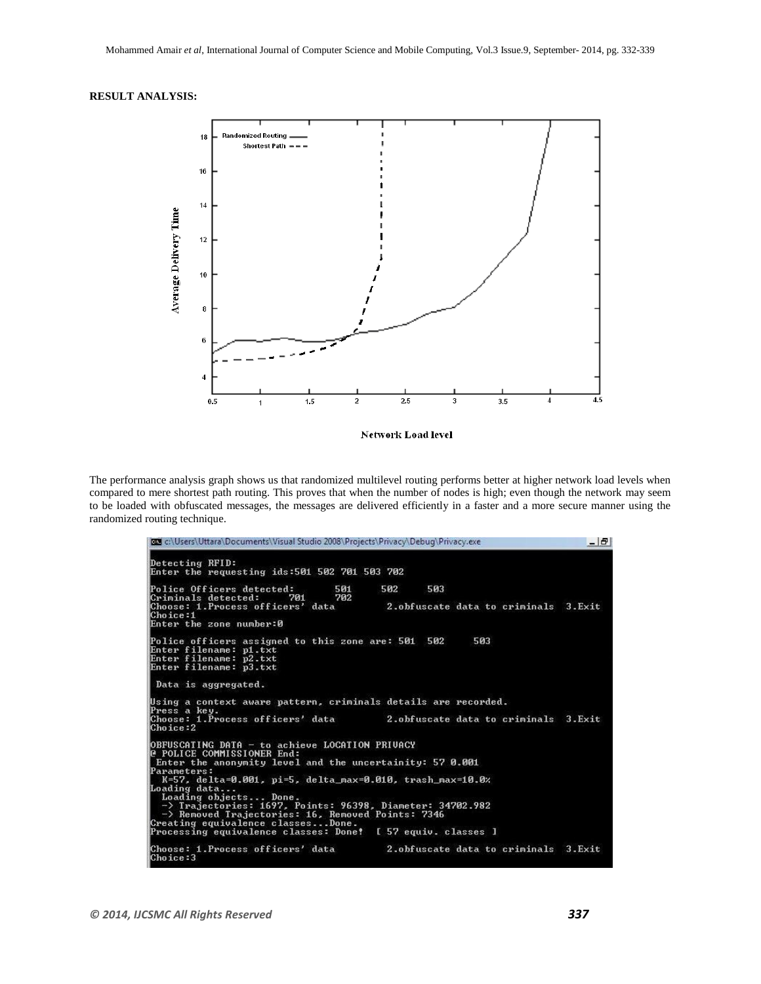# **RESULT ANALYSIS:**



**Network Load level** 

The performance analysis graph shows us that randomized multilevel routing performs better at higher network load levels when compared to mere shortest path routing. This proves that when the number of nodes is high; even though the network may seem to be loaded with obfuscated messages, the messages are delivered efficiently in a faster and a more secure manner using the randomized routing technique.

> **GET** c:\Users\Uttara\Documents\Visual Studio 2008\Projects\Privacy\Debug\Privacy.exe Detecting RFID: Enter the requesting ids:501 502 701 503 702 Police Officers detected:<br>Criminals detected: 701<br>Choose: 1.Process officers'<br>Choice:1<br>Enter the zone number:0 503 501<br>702 502 data 2.obfuscate data to criminals 3.Exit Police officers assigned to this zone are: 501 502<br>Enter filename: p1.txt<br>Enter filename: p2.txt<br>Enter filename: p3.txt 503 Data is aggregated. Using a context aware pattern, criminals details are recorded. Press a key.<br>Choose: 1.Process officers' data<br>Choice:2 2.obfuscate data to criminals 3. Exit OBFUSCATING DATA - to achieve LOCATION PRIUACY<br>
> @ POLICE COMMISSIONER End:<br>
> Enter the anonymity level and the uncertainity: 57 0.001<br>
> Parameters:<br>  $K=57$  delta=0.001, pi=5, delta\_max=0.010, trash\_max=10.0%<br>  $K=57$  delta=0. [ 57 equiv. classes ] Choose: 1.Process officers' data<br>Choice:3 2.obfuscate data to criminals 3.Exit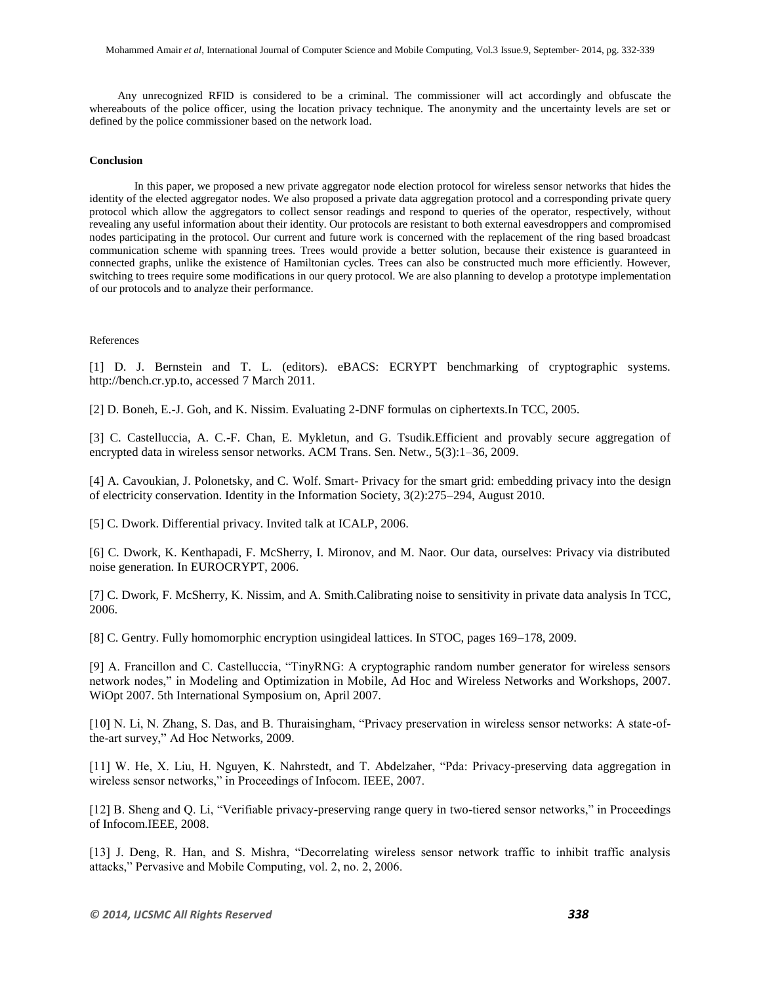Any unrecognized RFID is considered to be a criminal. The commissioner will act accordingly and obfuscate the whereabouts of the police officer, using the location privacy technique. The anonymity and the uncertainty levels are set or defined by the police commissioner based on the network load.

#### **Conclusion**

 In this paper, we proposed a new private aggregator node election protocol for wireless sensor networks that hides the identity of the elected aggregator nodes. We also proposed a private data aggregation protocol and a corresponding private query protocol which allow the aggregators to collect sensor readings and respond to queries of the operator, respectively, without revealing any useful information about their identity. Our protocols are resistant to both external eavesdroppers and compromised nodes participating in the protocol. Our current and future work is concerned with the replacement of the ring based broadcast communication scheme with spanning trees. Trees would provide a better solution, because their existence is guaranteed in connected graphs, unlike the existence of Hamiltonian cycles. Trees can also be constructed much more efficiently. However, switching to trees require some modifications in our query protocol. We are also planning to develop a prototype implementation of our protocols and to analyze their performance.

#### References

[1] D. J. Bernstein and T. L. (editors). eBACS: ECRYPT benchmarking of cryptographic systems. http://bench.cr.yp.to, accessed 7 March 2011.

[2] D. Boneh, E.-J. Goh, and K. Nissim. Evaluating 2-DNF formulas on ciphertexts.In TCC, 2005.

[3] C. Castelluccia, A. C.-F. Chan, E. Mykletun, and G. Tsudik.Efficient and provably secure aggregation of encrypted data in wireless sensor networks. ACM Trans. Sen. Netw., 5(3):1–36, 2009.

[4] A. Cavoukian, J. Polonetsky, and C. Wolf. Smart- Privacy for the smart grid: embedding privacy into the design of electricity conservation. Identity in the Information Society, 3(2):275–294, August 2010.

[5] C. Dwork. Differential privacy. Invited talk at ICALP, 2006.

[6] C. Dwork, K. Kenthapadi, F. McSherry, I. Mironov, and M. Naor. Our data, ourselves: Privacy via distributed noise generation. In EUROCRYPT, 2006.

[7] C. Dwork, F. McSherry, K. Nissim, and A. Smith.Calibrating noise to sensitivity in private data analysis In TCC, 2006.

[8] C. Gentry. Fully homomorphic encryption usingideal lattices. In STOC, pages 169–178, 2009.

[9] A. Francillon and C. Castelluccia, "TinyRNG: A cryptographic random number generator for wireless sensors network nodes," in Modeling and Optimization in Mobile, Ad Hoc and Wireless Networks and Workshops, 2007. WiOpt 2007. 5th International Symposium on, April 2007.

[10] N. Li, N. Zhang, S. Das, and B. Thuraisingham, "Privacy preservation in wireless sensor networks: A state-ofthe-art survey," Ad Hoc Networks, 2009.

[11] W. He, X. Liu, H. Nguyen, K. Nahrstedt, and T. Abdelzaher, "Pda: Privacy-preserving data aggregation in wireless sensor networks," in Proceedings of Infocom. IEEE, 2007.

[12] B. Sheng and Q. Li, "Verifiable privacy-preserving range query in two-tiered sensor networks," in Proceedings of Infocom.IEEE, 2008.

[13] J. Deng, R. Han, and S. Mishra, "Decorrelating wireless sensor network traffic to inhibit traffic analysis attacks," Pervasive and Mobile Computing, vol. 2, no. 2, 2006.